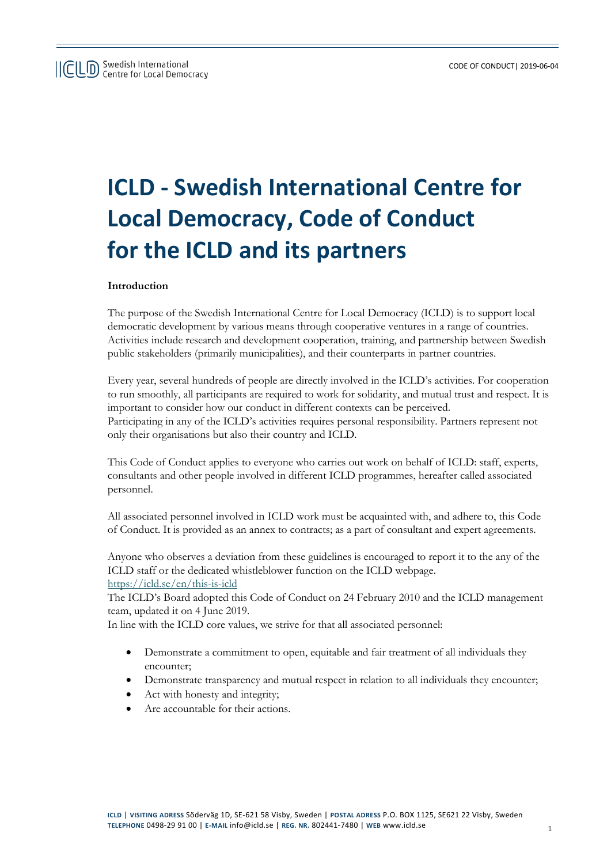# **ICLD - Swedish International Centre for Local Democracy, Code of Conduct for the ICLD and its partners**

# **Introduction**

The purpose of the Swedish International Centre for Local Democracy (ICLD) is to support local democratic development by various means through cooperative ventures in a range of countries. Activities include research and development cooperation, training, and partnership between Swedish public stakeholders (primarily municipalities), and their counterparts in partner countries.

Every year, several hundreds of people are directly involved in the ICLD's activities. For cooperation to run smoothly, all participants are required to work for solidarity, and mutual trust and respect. It is important to consider how our conduct in different contexts can be perceived. Participating in any of the ICLD's activities requires personal responsibility. Partners represent not only their organisations but also their country and ICLD.

This Code of Conduct applies to everyone who carries out work on behalf of ICLD: staff, experts, consultants and other people involved in different ICLD programmes, hereafter called associated personnel.

All associated personnel involved in ICLD work must be acquainted with, and adhere to, this Code of Conduct. It is provided as an annex to contracts; as a part of consultant and expert agreements.

Anyone who observes a deviation from these guidelines is encouraged to report it to the any of the ICLD staff or the dedicated whistleblower function on the ICLD webpage. <https://icld.se/en/this-is-icld>

The ICLD's Board adopted this Code of Conduct on 24 February 2010 and the ICLD management team, updated it on 4 June 2019.

In line with the ICLD core values, we strive for that all associated personnel:

- Demonstrate a commitment to open, equitable and fair treatment of all individuals they encounter;
- Demonstrate transparency and mutual respect in relation to all individuals they encounter;
- Act with honesty and integrity;
- Are accountable for their actions.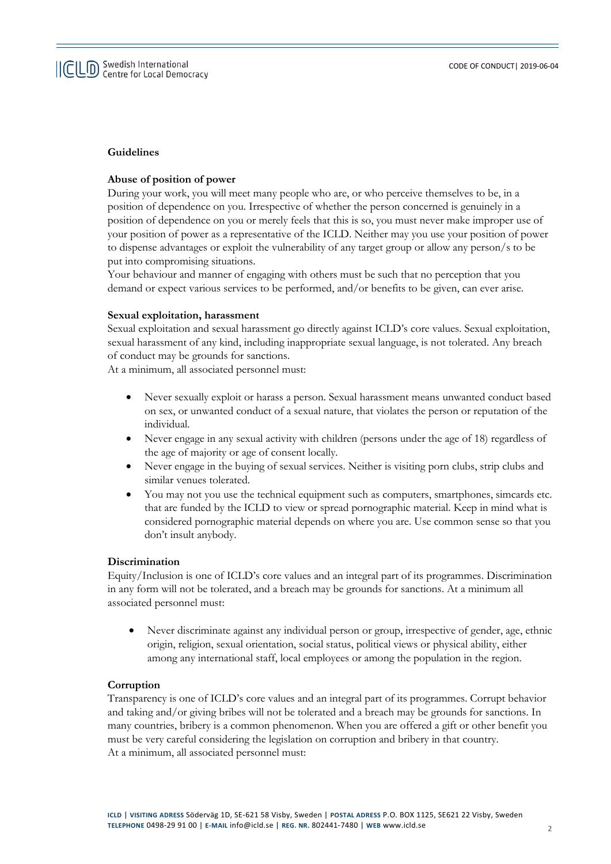## **Guidelines**

## **Abuse of position of power**

During your work, you will meet many people who are, or who perceive themselves to be, in a position of dependence on you. Irrespective of whether the person concerned is genuinely in a position of dependence on you or merely feels that this is so, you must never make improper use of your position of power as a representative of the ICLD. Neither may you use your position of power to dispense advantages or exploit the vulnerability of any target group or allow any person/s to be put into compromising situations.

Your behaviour and manner of engaging with others must be such that no perception that you demand or expect various services to be performed, and/or benefits to be given, can ever arise.

#### **Sexual exploitation, harassment**

Sexual exploitation and sexual harassment go directly against ICLD's core values. Sexual exploitation, sexual harassment of any kind, including inappropriate sexual language, is not tolerated. Any breach of conduct may be grounds for sanctions.

At a minimum, all associated personnel must:

- Never sexually exploit or harass a person. Sexual harassment means unwanted conduct based on sex, or unwanted conduct of a sexual nature, that violates the person or reputation of the individual.
- Never engage in any sexual activity with children (persons under the age of 18) regardless of the age of majority or age of consent locally.
- Never engage in the buying of sexual services. Neither is visiting porn clubs, strip clubs and similar venues tolerated.
- You may not you use the technical equipment such as computers, smartphones, simcards etc. that are funded by the ICLD to view or spread pornographic material. Keep in mind what is considered pornographic material depends on where you are. Use common sense so that you don't insult anybody.

### **Discrimination**

Equity/Inclusion is one of ICLD's core values and an integral part of its programmes. Discrimination in any form will not be tolerated, and a breach may be grounds for sanctions. At a minimum all associated personnel must:

• Never discriminate against any individual person or group, irrespective of gender, age, ethnic origin, religion, sexual orientation, social status, political views or physical ability, either among any international staff, local employees or among the population in the region.

## **Corruption**

Transparency is one of ICLD's core values and an integral part of its programmes. Corrupt behavior and taking and/or giving bribes will not be tolerated and a breach may be grounds for sanctions. In many countries, bribery is a common phenomenon. When you are offered a gift or other benefit you must be very careful considering the legislation on corruption and bribery in that country. At a minimum, all associated personnel must: